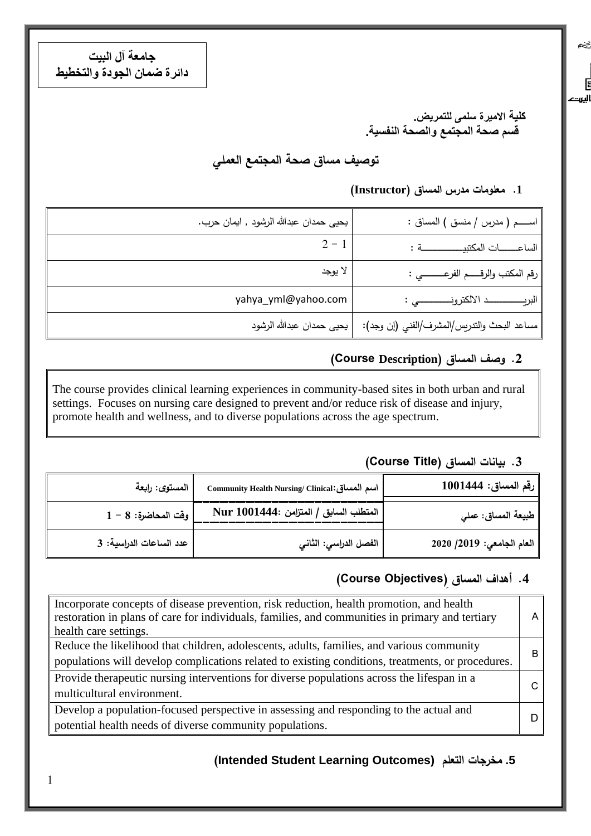**جامعة آل البيت دائرة ضمان الجودة والتخطيط**

> **كلية االميرة سلمى للتمريض. قسم صحة المجتمع والصحة النفسية.**

یخچ

 $\overline{E}$ اليروح

**توصيف مساق صحة المجتمع العملي** 

### **.1 معلومات مدرس المساق )Instructor)**

| اســـم ( مدرس / منسق ) المساق :                                            | يحيى حمدان عبدالله الرشود , ايمان حرب. |
|----------------------------------------------------------------------------|----------------------------------------|
| الساعـــات المكتبيـــــــــــة:                                            | $2 - 1$                                |
| رقم المكتب والرقـــــم الفرعــــــــــي :                                  | لا يوجد                                |
|                                                                            | yahya_yml@yahoo.com                    |
| مساعد البحث والتدريِس/المشرف/الفني (إن وجد):     يحيى حمدان عبدالله الرشود |                                        |

### **.2 وصف المساق )Description Course(**

The course provides clinical learning experiences in community-based sites in both urban and rural settings. Focuses on nursing care designed to prevent and/or reduce risk of disease and injury, promote health and wellness, and to diverse populations across the age spectrum.

### **.3 بيانات المساق )Title Course)**

| رقم المساق: 1001444       | Community Health Nursing/ Clinical: اسم المصاقى | المستوى: رابعة          |
|---------------------------|-------------------------------------------------|-------------------------|
| طبيعة المساق: عملي        | المتطلب السابق / المتزامن :Nur 1001444          | $1 - 8:$ وقت المحاضرة   |
| العام الجامعي: 2019/ 2020 | الفصل الدراسي: الثاني                           | عدد الساعات الدراسية: 3 |

## **.4 أهداف المساق ) Objectives Course)**

| Incorporate concepts of disease prevention, risk reduction, health promotion, and health<br>restoration in plans of care for individuals, families, and communities in primary and tertiary<br>health care settings. | A  |  |  |
|----------------------------------------------------------------------------------------------------------------------------------------------------------------------------------------------------------------------|----|--|--|
| Reduce the likelihood that children, adolescents, adults, families, and various community                                                                                                                            | B  |  |  |
| populations will develop complications related to existing conditions, treatments, or procedures.                                                                                                                    |    |  |  |
| Provide therapeutic nursing interventions for diverse populations across the lifespan in a                                                                                                                           | C. |  |  |
| multicultural environment.                                                                                                                                                                                           |    |  |  |
| Develop a population-focused perspective in assessing and responding to the actual and                                                                                                                               |    |  |  |
| potential health needs of diverse community populations.                                                                                                                                                             | D  |  |  |

### **(Intended Student Learning Outcomes) التعلم مخرجات .5**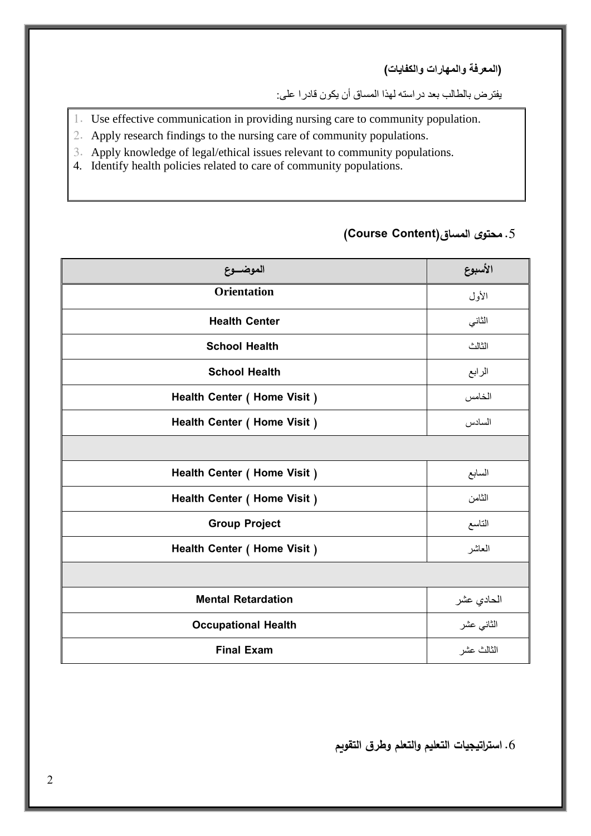**)المعرفة والمهارات والكفايات(**

يفترض بالطالب بعد دراسته لهذا المساق أن يكون قادرا على:

- 1. Use effective communication in providing nursing care to community population.
- 2. Apply research findings to the nursing care of community populations.
- 3. Apply knowledge of legal/ethical issues relevant to community populations.
- 4. Identify health policies related to care of community populations.

# **األسبوع الموضـــــوع Orientation**الأول **Health Center** الثاني **School Health** الثالث **School Health** الرابع **Health Center ( Home Visit )** الخامس **Health Center ( Home Visit )** السادس **Health Center ( Home Visit )** السابع **Health Center ( Home Visit )** الثامن **Group Project** التاسع **Health Center ( Home Visit )** العاشر الحادي عشر **Retardation Mental** الثاني عشر **Health Occupational** الثالث عشر **Exam Final**

### .5 **محتوى المساق)Content Course)**

.6 **استراتيجيات التعليم والتعلم وطرق التقويم**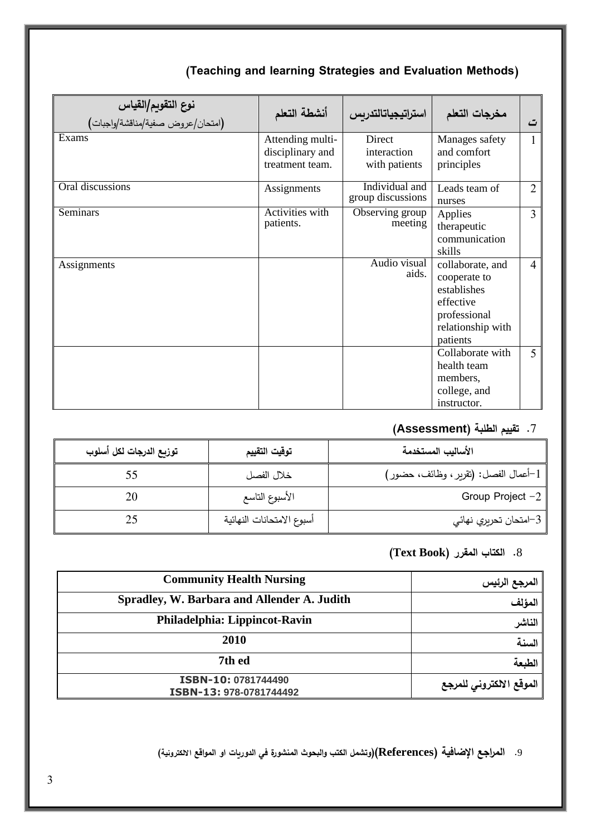| <b>نوع التقويم/القياس</b><br>(امتحا <i>ن/</i> عروض صفية/مناقشة/واجبات <b>)</b> | أنشطة التعلم                                            | استراتيجياتالتدربس                     | مخرجات التعلم                                                                                                 | ت              |
|--------------------------------------------------------------------------------|---------------------------------------------------------|----------------------------------------|---------------------------------------------------------------------------------------------------------------|----------------|
| Exams                                                                          | Attending multi-<br>disciplinary and<br>treatment team. | Direct<br>interaction<br>with patients | Manages safety<br>and comfort<br>principles                                                                   | $\mathbf{1}$   |
| Oral discussions                                                               | Assignments                                             | Individual and<br>group discussions    | Leads team of<br>nurses                                                                                       | $\overline{2}$ |
| <b>Seminars</b>                                                                | Activities with<br>patients.                            | Observing group<br>meeting             | Applies<br>therapeutic<br>communication<br>skills                                                             | $\overline{3}$ |
| Assignments                                                                    |                                                         | Audio visual<br>aids.                  | collaborate, and<br>cooperate to<br>establishes<br>effective<br>professional<br>relationship with<br>patients | $\overline{4}$ |
|                                                                                |                                                         |                                        | Collaborate with<br>health team<br>members,<br>college, and<br>instructor.                                    | 5              |

### **)Teaching and learning Strategies and Evaluation Methods(**

## .7 **تقييم الطلبة )Assessment)**

| توزيع الدرجات لكل أسلوب | توقيت التقييم             | الأساليب المستخدمة                   |
|-------------------------|---------------------------|--------------------------------------|
|                         | خلال الفصل                | 1-أعمال الفصل: (تقرير ، وظائف، حضور) |
| 20                      | الأسبوع التاسع            | Group Project $-2$                   |
|                         | أسبوع الامتحانات النهائية | , 3–امتحان تحريري نهائي              |

### .8 **الكتاب المقرر )Book Text)**

| <b>Community Health Nursing</b>                | المرجع الرئيس            |
|------------------------------------------------|--------------------------|
| Spradley, W. Barbara and Allender A. Judith    | المؤلف                   |
| Philadelphia: Lippincot-Ravin                  | الناشر                   |
| 2010                                           | السنة                    |
| 7th ed                                         | الطبعة                   |
| ISBN-10: 0781744490<br>ISBN-13: 978-0781744492 | الموقع الالكتروني للمرجع |

.9 **المراجع اإلضافية )References()وتشمل الكتب والبحوث المنشورة في الدوريات او المواقع االلكترونية(**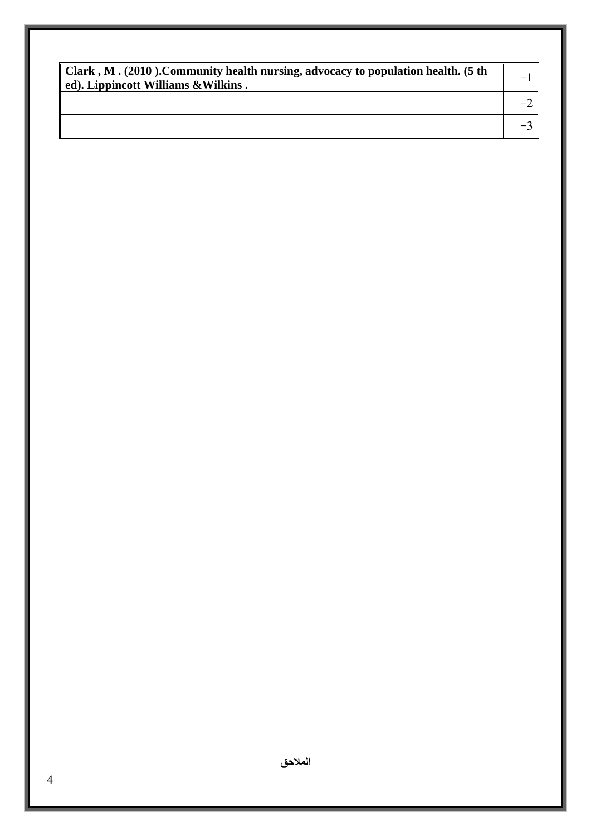| Clark, M. (2010). Community health nursing, advocacy to population health. (5 th<br>ed). Lippincott Williams & Wilkins. |  |
|-------------------------------------------------------------------------------------------------------------------------|--|
|                                                                                                                         |  |
|                                                                                                                         |  |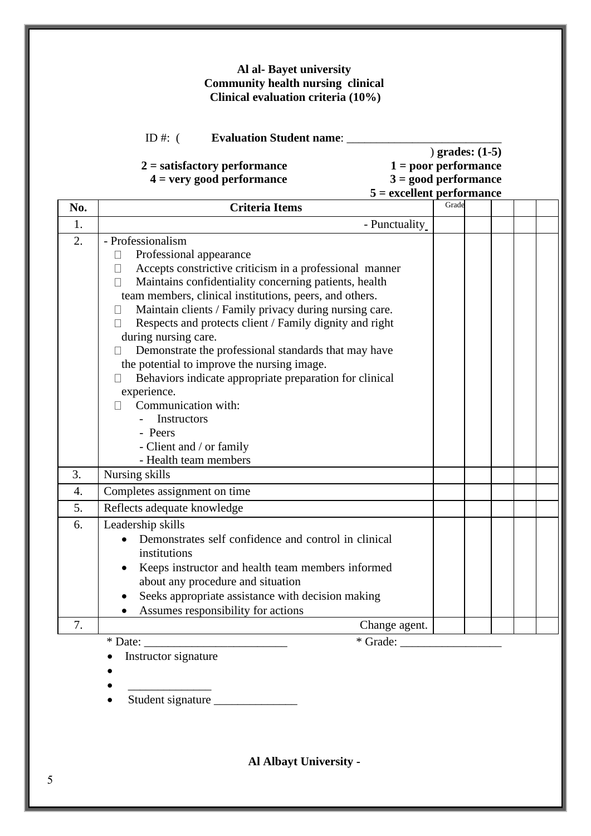### **Al al- Bayet university Community health nursing clinical Clinical evaluation criteria (10%)**

ID #: ( **Evaluation Student name**: \_\_\_\_\_\_\_\_\_\_\_\_\_\_\_\_\_\_\_\_\_\_\_\_\_\_

### **2 = satisfactory performance 1 = poor performance 4 = very good performance 3 = good performance**

) **grades: (1-5)**

| $1 - \text{post}$ performance |
|-------------------------------|
| $3 =$ good performance        |
| $5 =$ excellent performance   |

| No. | <b>Criteria Items</b>                                                                                                                                                                                                                                                                                                                                                                                                                                                                                                                                                                                                                                                                                                                         | Grade |  |  |
|-----|-----------------------------------------------------------------------------------------------------------------------------------------------------------------------------------------------------------------------------------------------------------------------------------------------------------------------------------------------------------------------------------------------------------------------------------------------------------------------------------------------------------------------------------------------------------------------------------------------------------------------------------------------------------------------------------------------------------------------------------------------|-------|--|--|
| 1.  | - Punctuality                                                                                                                                                                                                                                                                                                                                                                                                                                                                                                                                                                                                                                                                                                                                 |       |  |  |
| 2.  | - Professionalism<br>Professional appearance<br>$\Box$<br>Accepts constrictive criticism in a professional manner<br>$\Box$<br>Maintains confidentiality concerning patients, health<br>$\Box$<br>team members, clinical institutions, peers, and others.<br>Maintain clients / Family privacy during nursing care.<br>$\Box$<br>Respects and protects client / Family dignity and right<br>$\perp$<br>during nursing care.<br>Demonstrate the professional standards that may have<br>$\perp$<br>the potential to improve the nursing image.<br>Behaviors indicate appropriate preparation for clinical<br>$\perp$<br>experience.<br>Communication with:<br>П<br>Instructors<br>- Peers<br>- Client and / or family<br>- Health team members |       |  |  |
| 3.  | Nursing skills                                                                                                                                                                                                                                                                                                                                                                                                                                                                                                                                                                                                                                                                                                                                |       |  |  |
| 4.  | Completes assignment on time                                                                                                                                                                                                                                                                                                                                                                                                                                                                                                                                                                                                                                                                                                                  |       |  |  |
| 5.  | Reflects adequate knowledge                                                                                                                                                                                                                                                                                                                                                                                                                                                                                                                                                                                                                                                                                                                   |       |  |  |
| 6.  | Leadership skills<br>Demonstrates self confidence and control in clinical<br>institutions<br>Keeps instructor and health team members informed<br>about any procedure and situation<br>Seeks appropriate assistance with decision making<br>Assumes responsibility for actions                                                                                                                                                                                                                                                                                                                                                                                                                                                                |       |  |  |
| 7.  | Change agent.                                                                                                                                                                                                                                                                                                                                                                                                                                                                                                                                                                                                                                                                                                                                 |       |  |  |
|     | $\overline{\text{Grade:}}$<br>$*$ Date: $\_$<br>Instructor signature                                                                                                                                                                                                                                                                                                                                                                                                                                                                                                                                                                                                                                                                          |       |  |  |

• Student signature \_\_\_\_\_\_\_\_\_\_\_\_\_\_

**Al Albayt University -**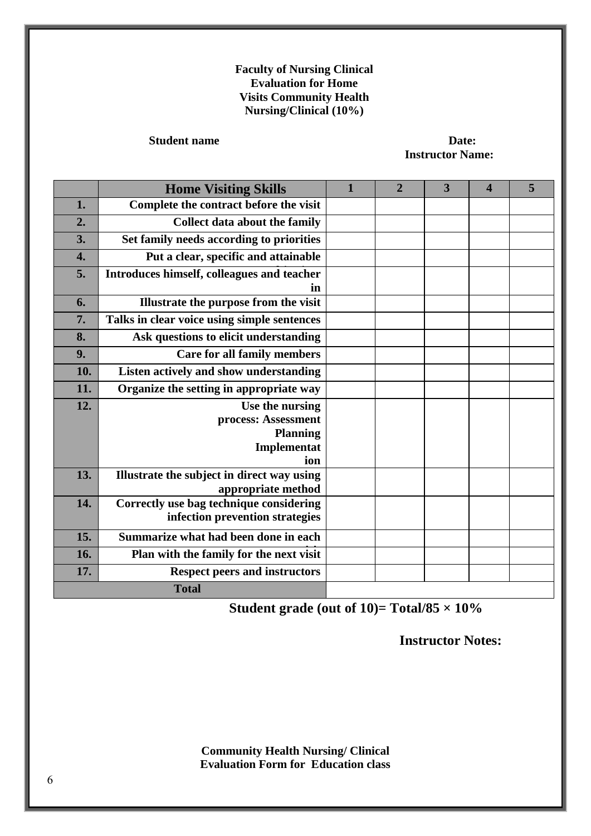### **Faculty of Nursing Clinical Evaluation for Home Visits Community Health Nursing/Clinical (10%)**

### **Student name** Date:

**Instructor Name:**

|                  | <b>Home Visiting Skills</b>                      | $\mathbf{1}$ | $\overline{2}$ | $\overline{\mathbf{3}}$ | $\overline{\mathbf{4}}$ | 5 |
|------------------|--------------------------------------------------|--------------|----------------|-------------------------|-------------------------|---|
| 1.               | Complete the contract before the visit           |              |                |                         |                         |   |
| 2.               | <b>Collect data about the family</b>             |              |                |                         |                         |   |
| 3.               | Set family needs according to priorities         |              |                |                         |                         |   |
| $\overline{4}$ . | Put a clear, specific and attainable             |              |                |                         |                         |   |
| 5.               | Introduces himself, colleagues and teacher<br>in |              |                |                         |                         |   |
| 6.               | Illustrate the purpose from the visit            |              |                |                         |                         |   |
| 7.               | Talks in clear voice using simple sentences      |              |                |                         |                         |   |
| 8.               | Ask questions to elicit understanding            |              |                |                         |                         |   |
| 9.               | <b>Care for all family members</b>               |              |                |                         |                         |   |
| 10.              | Listen actively and show understanding           |              |                |                         |                         |   |
| 11.              | Organize the setting in appropriate way          |              |                |                         |                         |   |
| 12.              | Use the nursing                                  |              |                |                         |                         |   |
|                  | process: Assessment                              |              |                |                         |                         |   |
|                  | <b>Planning</b>                                  |              |                |                         |                         |   |
|                  | Implementat<br>ion                               |              |                |                         |                         |   |
| 13.              | Illustrate the subject in direct way using       |              |                |                         |                         |   |
|                  | appropriate method                               |              |                |                         |                         |   |
| 14.              | Correctly use bag technique considering          |              |                |                         |                         |   |
|                  | infection prevention strategies                  |              |                |                         |                         |   |
| 15.              | Summarize what had been done in each             |              |                |                         |                         |   |
| 16.              | Plan with the family for the next visit          |              |                |                         |                         |   |
| 17.              | <b>Respect peers and instructors</b>             |              |                |                         |                         |   |
|                  | <b>Total</b>                                     |              |                |                         |                         |   |

**Student grade (out of 10)= Total/85 × 10%**

**Instructor Notes:**

**Community Health Nursing/ Clinical Evaluation Form for Education class**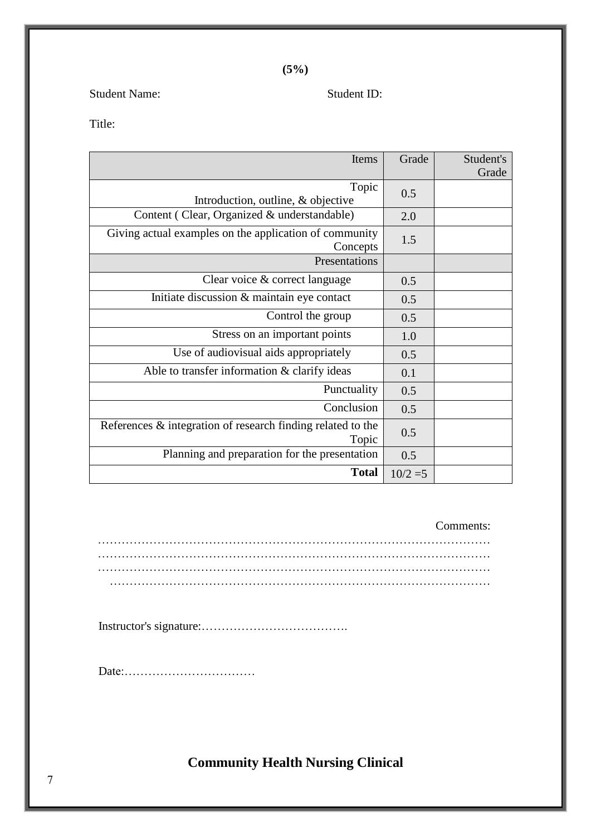**(5%)**

Student Name: Student ID:

Title:

| Items                                                                   | Grade      | Student's<br>Grade |
|-------------------------------------------------------------------------|------------|--------------------|
| Topic<br>Introduction, outline, & objective                             | 0.5        |                    |
| Content (Clear, Organized & understandable)                             | 2.0        |                    |
| Giving actual examples on the application of community<br>Concepts      | 1.5        |                    |
| Presentations                                                           |            |                    |
| Clear voice & correct language                                          | 0.5        |                    |
| Initiate discussion & maintain eye contact                              | 0.5        |                    |
| Control the group                                                       | 0.5        |                    |
| Stress on an important points                                           | 1.0        |                    |
| Use of audiovisual aids appropriately                                   | 0.5        |                    |
| Able to transfer information $&$ clarify ideas                          | 0.1        |                    |
| Punctuality                                                             | 0.5        |                    |
| Conclusion                                                              | 0.5        |                    |
| References $\&$ integration of research finding related to the<br>Topic | 0.5        |                    |
| Planning and preparation for the presentation                           | 0.5        |                    |
| <b>Total</b>                                                            | $10/2 = 5$ |                    |

Comments:

Instructor's signature:……………………………….

Date:……………………………

**Community Health Nursing Clinical**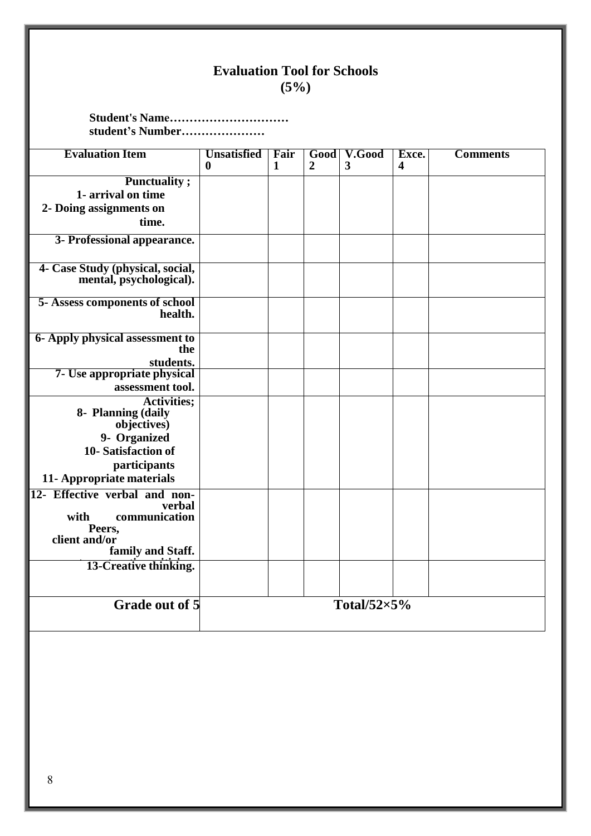### **Evaluation Tool for Schools (5%)**

**Student's Name………………………… student's Number…………………**

| <b>Evaluation Item</b>                                                                                           | <b>Unsatisfied</b><br>$\mathbf{0}$ | Fair<br>1 | Good<br>$\overline{2}$ | V.Good<br>3          | Exce.<br>4 | <b>Comments</b> |
|------------------------------------------------------------------------------------------------------------------|------------------------------------|-----------|------------------------|----------------------|------------|-----------------|
| <b>Punctuality</b> ;                                                                                             |                                    |           |                        |                      |            |                 |
| 1- arrival on time                                                                                               |                                    |           |                        |                      |            |                 |
| 2- Doing assignments on                                                                                          |                                    |           |                        |                      |            |                 |
| time.                                                                                                            |                                    |           |                        |                      |            |                 |
| 3- Professional appearance.                                                                                      |                                    |           |                        |                      |            |                 |
| 4- Case Study (physical, social,<br>mental, psychological).                                                      |                                    |           |                        |                      |            |                 |
| <b>5- Assess components of school</b><br>health.                                                                 |                                    |           |                        |                      |            |                 |
| <b>6- Apply physical assessment to</b><br>the<br>students.                                                       |                                    |           |                        |                      |            |                 |
| 7- Use appropriate physical                                                                                      |                                    |           |                        |                      |            |                 |
| assessment tool.                                                                                                 |                                    |           |                        |                      |            |                 |
| <b>Activities;</b><br>8- Planning (daily<br>objectives)<br>9- Organized                                          |                                    |           |                        |                      |            |                 |
| 10-Satisfaction of                                                                                               |                                    |           |                        |                      |            |                 |
| participants<br>11- Appropriate materials                                                                        |                                    |           |                        |                      |            |                 |
| 12- Effective verbal and non-<br>verbal<br>communication<br>with<br>Peers.<br>client and/or<br>family and Staff. |                                    |           |                        |                      |            |                 |
| 13-Creative thinking.                                                                                            |                                    |           |                        |                      |            |                 |
|                                                                                                                  |                                    |           |                        |                      |            |                 |
| <b>Grade out of 5</b>                                                                                            |                                    |           |                        | Total/52 $\times$ 5% |            |                 |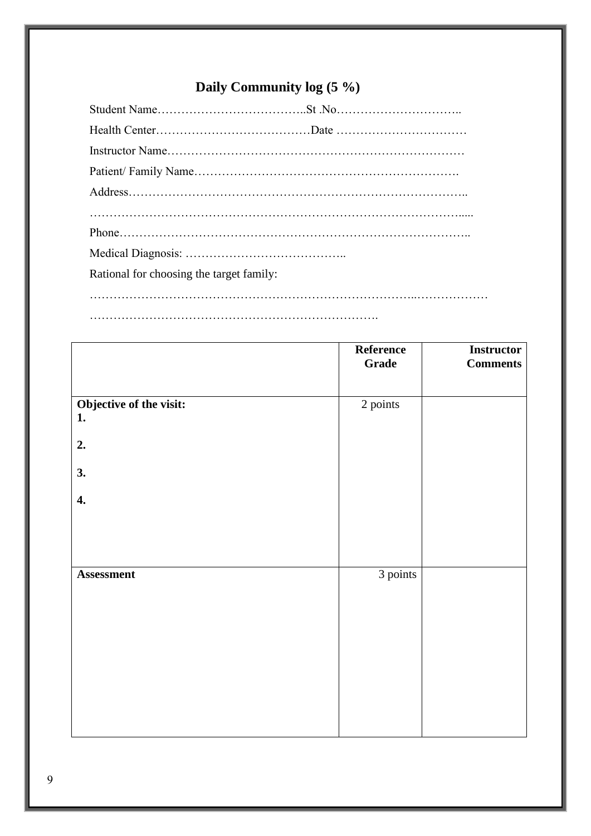## **Daily Community log (5 %)**

| Rational for choosing the target family: |  |
|------------------------------------------|--|
|                                          |  |

……………………………………………………………….

|                               | Reference<br>Grade | <b>Instructor</b><br><b>Comments</b> |
|-------------------------------|--------------------|--------------------------------------|
| Objective of the visit:<br>1. | 2 points           |                                      |
| 2.<br>3.                      |                    |                                      |
| $\boldsymbol{4}$ .            |                    |                                      |
|                               |                    |                                      |
| Assessment                    | 3 points           |                                      |
|                               |                    |                                      |
|                               |                    |                                      |
|                               |                    |                                      |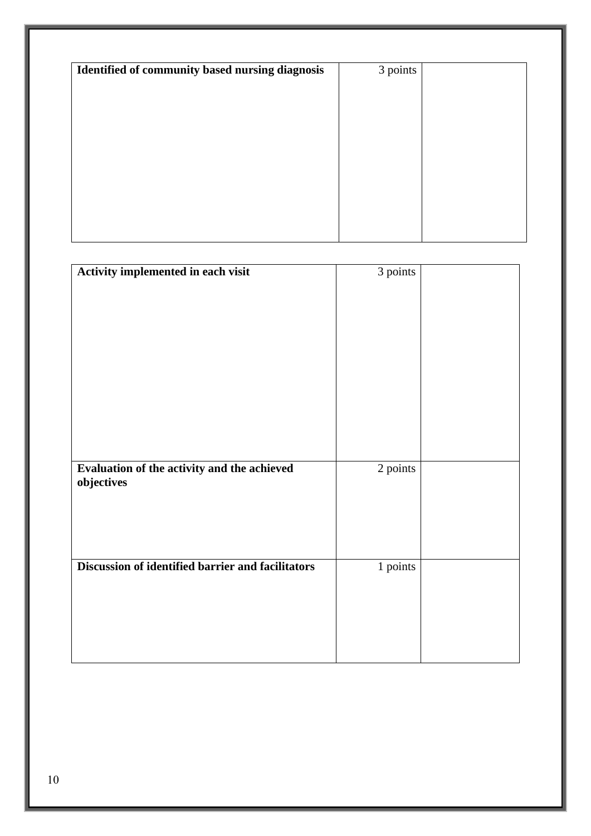| Identified of community based nursing diagnosis | 3 points |  |
|-------------------------------------------------|----------|--|
|                                                 |          |  |
|                                                 |          |  |
|                                                 |          |  |
|                                                 |          |  |
|                                                 |          |  |
|                                                 |          |  |
|                                                 |          |  |
|                                                 |          |  |

|                                                   | 3 points |  |
|---------------------------------------------------|----------|--|
| Activity implemented in each visit                |          |  |
|                                                   |          |  |
|                                                   |          |  |
|                                                   |          |  |
|                                                   |          |  |
|                                                   |          |  |
|                                                   |          |  |
|                                                   |          |  |
|                                                   |          |  |
|                                                   |          |  |
|                                                   |          |  |
|                                                   |          |  |
|                                                   |          |  |
|                                                   |          |  |
|                                                   |          |  |
|                                                   |          |  |
| Evaluation of the activity and the achieved       | 2 points |  |
|                                                   |          |  |
| objectives                                        |          |  |
|                                                   |          |  |
|                                                   |          |  |
|                                                   |          |  |
|                                                   |          |  |
|                                                   |          |  |
|                                                   |          |  |
| Discussion of identified barrier and facilitators | 1 points |  |
|                                                   |          |  |
|                                                   |          |  |
|                                                   |          |  |
|                                                   |          |  |
|                                                   |          |  |
|                                                   |          |  |
|                                                   |          |  |
|                                                   |          |  |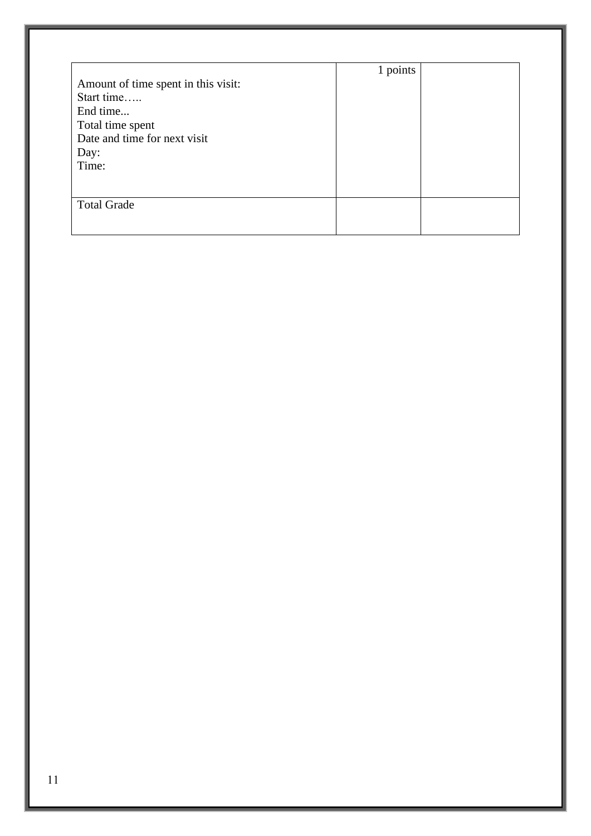|                                     | 1 points |  |
|-------------------------------------|----------|--|
| Amount of time spent in this visit: |          |  |
| Start time                          |          |  |
| End time                            |          |  |
| Total time spent                    |          |  |
| Date and time for next visit        |          |  |
| Day:                                |          |  |
| Time:                               |          |  |
|                                     |          |  |
|                                     |          |  |
| <b>Total Grade</b>                  |          |  |
|                                     |          |  |
|                                     |          |  |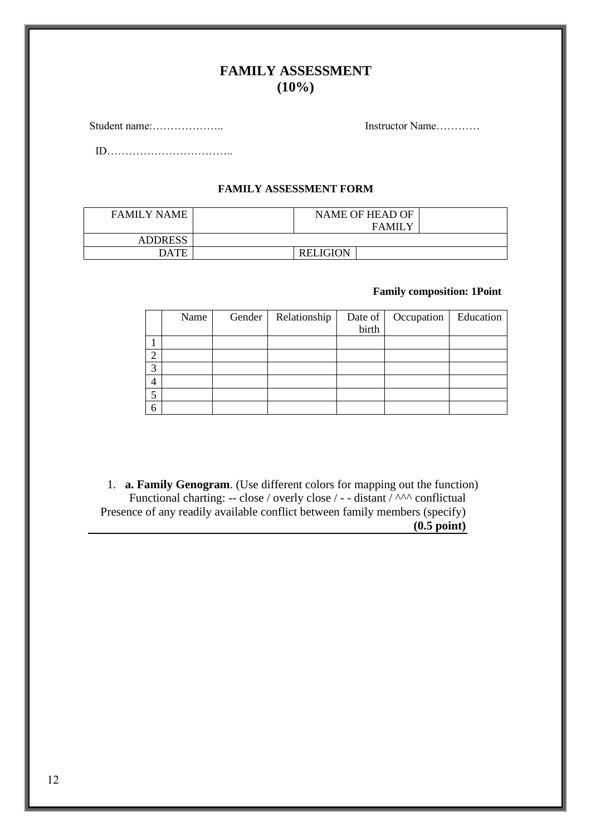### **FAMILY ASSESSMENT (10%)**

Student name:……………….. Instructor Name…………

ID……………………………..

#### **FAMILY ASSESSMENT FORM**

| <b>FAMILY NAME</b> | NAME OF HEAD OF<br><b>FAMILY</b> |  |
|--------------------|----------------------------------|--|
| <b>ADDRESS</b>     |                                  |  |
| DATE               | <b>RELIGION</b>                  |  |

### **Family composition: 1Point**

|                | Name | Gender | Relationship | Date of | Occupation | Education |
|----------------|------|--------|--------------|---------|------------|-----------|
|                |      |        |              | birth   |            |           |
|                |      |        |              |         |            |           |
| ◠              |      |        |              |         |            |           |
| 3              |      |        |              |         |            |           |
| $\overline{4}$ |      |        |              |         |            |           |
| 5              |      |        |              |         |            |           |
| 6              |      |        |              |         |            |           |

1. **a. Family Genogram**. (Use different colors for mapping out the function) Functional charting: -- close / overly close / - - distant / ^^^ conflictual Presence of any readily available conflict between family members (specify) **(0.5 point)**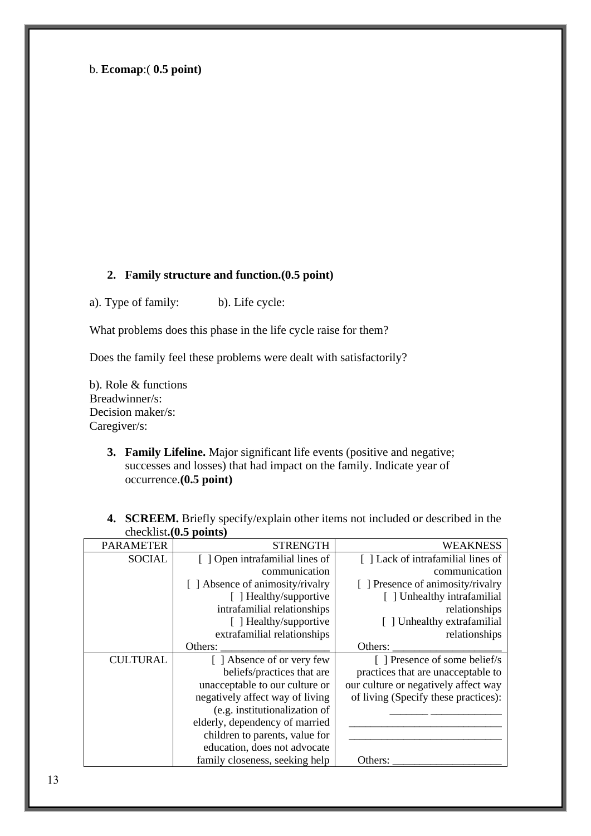### b. **Ecomap**:( **0.5 point)**

### **2. Family structure and function.(0.5 point)**

a). Type of family: b). Life cycle:

What problems does this phase in the life cycle raise for them?

Does the family feel these problems were dealt with satisfactorily?

b). Role & functions Breadwinner/s: Decision maker/s: Caregiver/s:

> **3. Family Lifeline.** Major significant life events (positive and negative; successes and losses) that had impact on the family. Indicate year of occurrence.**(0.5 point)**

| <b>PARAMETER</b><br><b>STRENGTH</b><br>WEAKNESS<br><b>SOCIAL</b><br>[ ] Open intrafamilial lines of<br>[] Lack of intrafamilial lines of<br>communication<br>communication<br>[ ] Absence of animosity/rivalry<br>[ ] Presence of animosity/rivalry<br>[ ] Healthy/supportive<br>[] Unhealthy intrafamilial<br>intrafamilial relationships<br>relationships<br>[ ] Healthy/supportive<br>[] Unhealthy extrafamilial<br>extrafamilial relationships<br>relationships<br>Others:<br>Others:<br>[ ] Presence of some belief/s<br><b>CULTURAL</b><br>[ ] Absence of or very few<br>practices that are unacceptable to<br>beliefs/practices that are<br>unacceptable to our culture or<br>our culture or negatively affect way<br>negatively affect way of living<br>of living (Specify these practices):<br>(e.g. institutionalization of<br>elderly, dependency of married<br>children to parents, value for<br>education, does not advocate<br>family closeness, seeking help<br>Others: | CHUCKHOG VW PUHILD |  |
|----------------------------------------------------------------------------------------------------------------------------------------------------------------------------------------------------------------------------------------------------------------------------------------------------------------------------------------------------------------------------------------------------------------------------------------------------------------------------------------------------------------------------------------------------------------------------------------------------------------------------------------------------------------------------------------------------------------------------------------------------------------------------------------------------------------------------------------------------------------------------------------------------------------------------------------------------------------------------------------|--------------------|--|
|                                                                                                                                                                                                                                                                                                                                                                                                                                                                                                                                                                                                                                                                                                                                                                                                                                                                                                                                                                                        |                    |  |
|                                                                                                                                                                                                                                                                                                                                                                                                                                                                                                                                                                                                                                                                                                                                                                                                                                                                                                                                                                                        |                    |  |
|                                                                                                                                                                                                                                                                                                                                                                                                                                                                                                                                                                                                                                                                                                                                                                                                                                                                                                                                                                                        |                    |  |
|                                                                                                                                                                                                                                                                                                                                                                                                                                                                                                                                                                                                                                                                                                                                                                                                                                                                                                                                                                                        |                    |  |
|                                                                                                                                                                                                                                                                                                                                                                                                                                                                                                                                                                                                                                                                                                                                                                                                                                                                                                                                                                                        |                    |  |
|                                                                                                                                                                                                                                                                                                                                                                                                                                                                                                                                                                                                                                                                                                                                                                                                                                                                                                                                                                                        |                    |  |
|                                                                                                                                                                                                                                                                                                                                                                                                                                                                                                                                                                                                                                                                                                                                                                                                                                                                                                                                                                                        |                    |  |
|                                                                                                                                                                                                                                                                                                                                                                                                                                                                                                                                                                                                                                                                                                                                                                                                                                                                                                                                                                                        |                    |  |
|                                                                                                                                                                                                                                                                                                                                                                                                                                                                                                                                                                                                                                                                                                                                                                                                                                                                                                                                                                                        |                    |  |
|                                                                                                                                                                                                                                                                                                                                                                                                                                                                                                                                                                                                                                                                                                                                                                                                                                                                                                                                                                                        |                    |  |
|                                                                                                                                                                                                                                                                                                                                                                                                                                                                                                                                                                                                                                                                                                                                                                                                                                                                                                                                                                                        |                    |  |
|                                                                                                                                                                                                                                                                                                                                                                                                                                                                                                                                                                                                                                                                                                                                                                                                                                                                                                                                                                                        |                    |  |
|                                                                                                                                                                                                                                                                                                                                                                                                                                                                                                                                                                                                                                                                                                                                                                                                                                                                                                                                                                                        |                    |  |
|                                                                                                                                                                                                                                                                                                                                                                                                                                                                                                                                                                                                                                                                                                                                                                                                                                                                                                                                                                                        |                    |  |
|                                                                                                                                                                                                                                                                                                                                                                                                                                                                                                                                                                                                                                                                                                                                                                                                                                                                                                                                                                                        |                    |  |
|                                                                                                                                                                                                                                                                                                                                                                                                                                                                                                                                                                                                                                                                                                                                                                                                                                                                                                                                                                                        |                    |  |
|                                                                                                                                                                                                                                                                                                                                                                                                                                                                                                                                                                                                                                                                                                                                                                                                                                                                                                                                                                                        |                    |  |
|                                                                                                                                                                                                                                                                                                                                                                                                                                                                                                                                                                                                                                                                                                                                                                                                                                                                                                                                                                                        |                    |  |

**4. SCREEM.** Briefly specify/explain other items not included or described in the checklist**.(0.5 points)**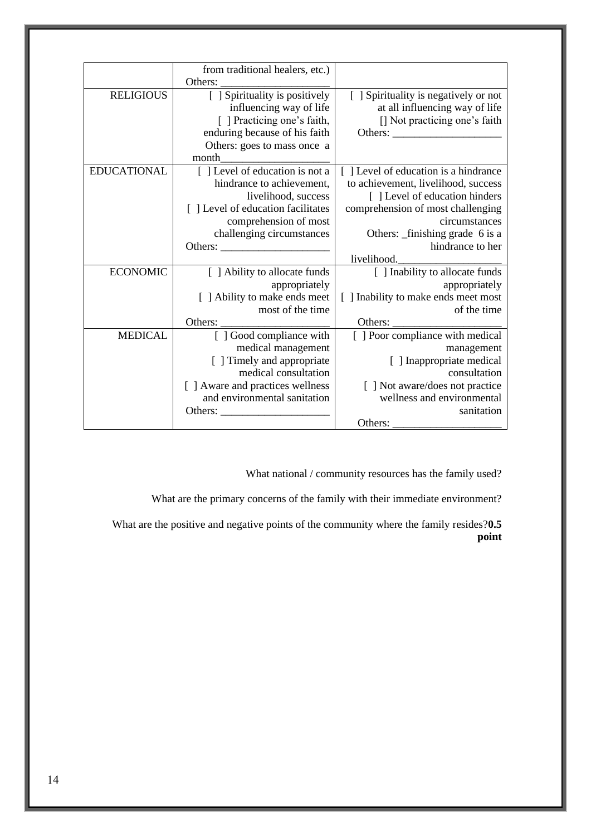|                                       | from traditional healers, etc.)   |                    |
|---------------------------------------|-----------------------------------|--------------------|
|                                       | Others:                           |                    |
| [ ] Spirituality is negatively or not | [ ] Spirituality is positively    | <b>RELIGIOUS</b>   |
| at all influencing way of life        | influencing way of life           |                    |
| [] Not practicing one's faith         | [ ] Practicing one's faith,       |                    |
| Others:                               | enduring because of his faith     |                    |
|                                       | Others: goes to mass once a       |                    |
|                                       | month                             |                    |
| [] Level of education is a hindrance  | [] Level of education is not a    | <b>EDUCATIONAL</b> |
| to achievement, livelihood, success   | hindrance to achievement,         |                    |
| [] Level of education hinders         | livelihood, success               |                    |
| comprehension of most challenging     | [] Level of education facilitates |                    |
| circumstances                         | comprehension of most             |                    |
| Others: _finishing grade 6 is a       | challenging circumstances         |                    |
| hindrance to her                      |                                   |                    |
| livelihood.                           |                                   |                    |
| [ ] Inability to allocate funds       | [ ] Ability to allocate funds     | <b>ECONOMIC</b>    |
| appropriately                         | appropriately                     |                    |
| [ ] Inability to make ends meet most  | [ ] Ability to make ends meet     |                    |
| of the time                           | most of the time                  |                    |
| Others:                               | Others:                           |                    |
| [ ] Poor compliance with medical      | [ ] Good compliance with          | <b>MEDICAL</b>     |
| management                            | medical management                |                    |
| [ ] Inappropriate medical             | [ ] Timely and appropriate        |                    |
| consultation                          | medical consultation              |                    |
| [ ] Not aware/does not practice       | [ ] Aware and practices wellness  |                    |
| wellness and environmental            | and environmental sanitation      |                    |
| sanitation                            | Others:                           |                    |
| Others:                               |                                   |                    |

What national / community resources has the family used?

What are the primary concerns of the family with their immediate environment?

What are the positive and negative points of the community where the family resides?**0.5 point**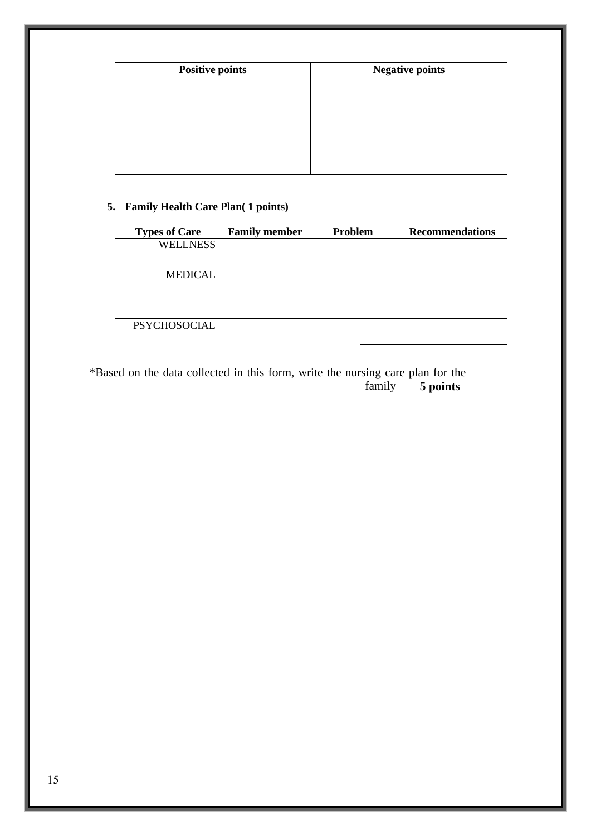| <b>Positive points</b> | <b>Negative points</b> |
|------------------------|------------------------|
|                        |                        |
|                        |                        |
|                        |                        |
|                        |                        |
|                        |                        |
|                        |                        |
|                        |                        |

### **5. Family Health Care Plan( 1 points)**

| <b>Types of Care</b> | <b>Family member</b> | Problem | <b>Recommendations</b> |
|----------------------|----------------------|---------|------------------------|
| <b>WELLNESS</b>      |                      |         |                        |
|                      |                      |         |                        |
| <b>MEDICAL</b>       |                      |         |                        |
|                      |                      |         |                        |
|                      |                      |         |                        |
| <b>PSYCHOSOCIAL</b>  |                      |         |                        |
|                      |                      |         |                        |

\*Based on the data collected in this form, write the nursing care plan for the family **5 points**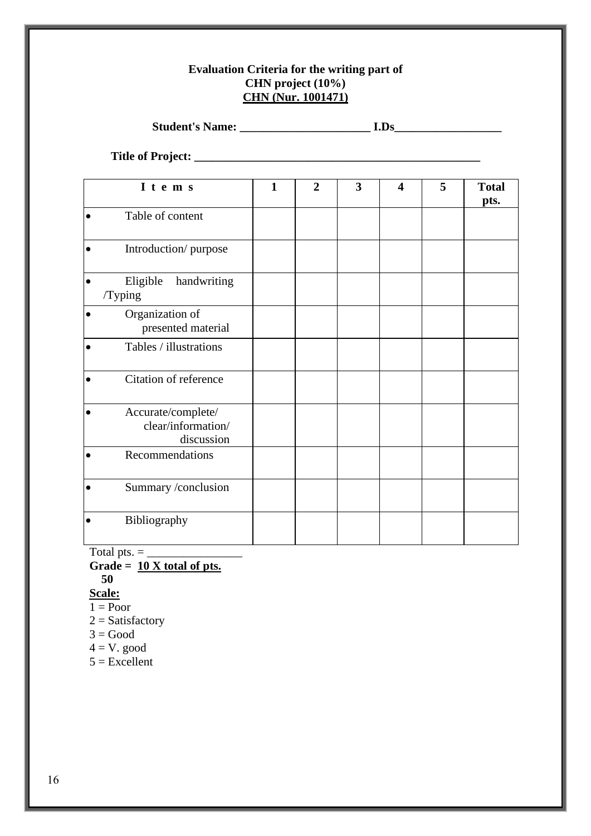### **Evaluation Criteria for the writing part of CHN project (10%) CHN (Nur. 1001471)**

**Student's Name: \_\_\_\_\_\_\_\_\_\_\_\_\_\_\_\_\_\_\_\_\_\_ I.Ds\_\_\_\_\_\_\_\_\_\_\_\_\_\_\_\_\_\_**

**Title of Project: \_\_\_\_\_\_\_\_\_\_\_\_\_\_\_\_\_\_\_\_\_\_\_\_\_\_\_\_\_\_\_\_\_\_\_\_\_\_\_\_\_\_\_\_\_\_\_\_**

| I t e m s                                                           | $\mathbf{1}$ | $\overline{2}$ | 3 | $\overline{\mathbf{4}}$ | 5 | <b>Total</b> |
|---------------------------------------------------------------------|--------------|----------------|---|-------------------------|---|--------------|
|                                                                     |              |                |   |                         |   | pts.         |
| Table of content<br>$\bullet$                                       |              |                |   |                         |   |              |
| Introduction/purpose<br>$\bullet$                                   |              |                |   |                         |   |              |
| Eligible<br>handwriting<br>/Typing                                  |              |                |   |                         |   |              |
| Organization of<br>presented material                               |              |                |   |                         |   |              |
| Tables / illustrations                                              |              |                |   |                         |   |              |
| Citation of reference<br>$\bullet$                                  |              |                |   |                         |   |              |
| Accurate/complete/<br>$\bullet$<br>clear/information/<br>discussion |              |                |   |                         |   |              |
| Recommendations<br>$\bullet$                                        |              |                |   |                         |   |              |
| Summary /conclusion<br>$\bullet$                                    |              |                |   |                         |   |              |
| Bibliography                                                        |              |                |   |                         |   |              |

Total pts. = \_\_\_\_\_\_\_\_\_\_\_\_\_\_\_\_

Grade =  $\frac{10 \text{ X total of pts.}}{}$  **50** 

- 
- **Scale:**
- $1 =$ Poor
- $2 =$  Satisfactory
- $3 = Good$
- $4 = V. good$
- $5 =$ Excellent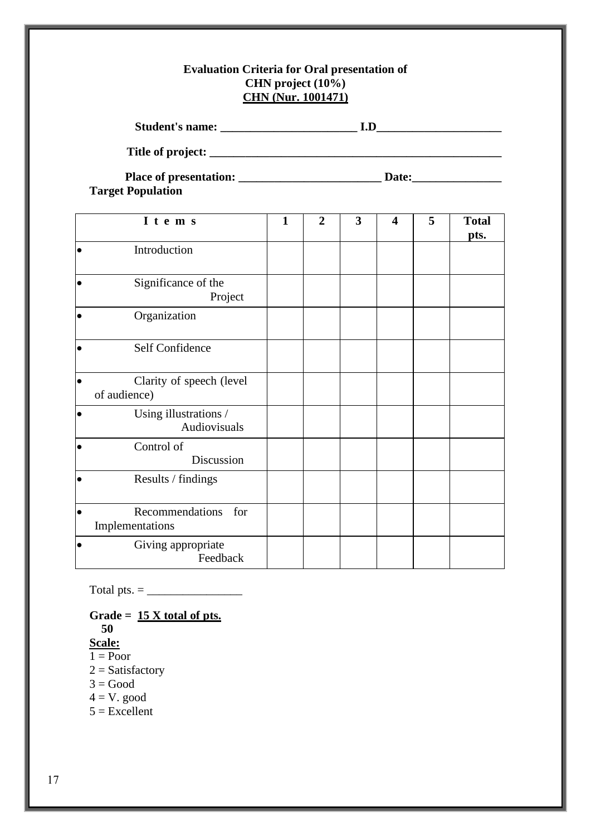### **Evaluation Criteria for Oral presentation of CHN project (10%) CHN (Nur. 1001471)**

| <b>Target Population</b>                              |              |                |                         |                         |   |                      |  |  |  |
|-------------------------------------------------------|--------------|----------------|-------------------------|-------------------------|---|----------------------|--|--|--|
| I t e m s                                             | $\mathbf{1}$ | $\overline{2}$ | $\overline{\mathbf{3}}$ | $\overline{\mathbf{4}}$ | 5 | <b>Total</b><br>pts. |  |  |  |
| Introduction                                          |              |                |                         |                         |   |                      |  |  |  |
| Significance of the<br>$\bullet$<br>Project           |              |                |                         |                         |   |                      |  |  |  |
| $\bullet$<br>Organization                             |              |                |                         |                         |   |                      |  |  |  |
| Self Confidence                                       |              |                |                         |                         |   |                      |  |  |  |
| $\bullet$<br>Clarity of speech (level<br>of audience) |              |                |                         |                         |   |                      |  |  |  |
| Using illustrations /<br>$\bullet$<br>Audiovisuals    |              |                |                         |                         |   |                      |  |  |  |
| Control of<br>Discussion                              |              |                |                         |                         |   |                      |  |  |  |
| $\bullet$<br>Results / findings                       |              |                |                         |                         |   |                      |  |  |  |
| Recommendations for<br>$\bullet$<br>Implementations   |              |                |                         |                         |   |                      |  |  |  |
| Giving appropriate<br>$\bullet$<br>Feedback           |              |                |                         |                         |   |                      |  |  |  |

Total pts. = \_\_\_\_\_\_\_\_\_\_\_\_\_\_\_\_

**Grade = 15 X total of pts. 50 Scale:**  $1 =$ Poor  $2 =$ Satisfactory  $3 = Good$ 

 $4 = V. good$ 

 $5 =$ Excellent